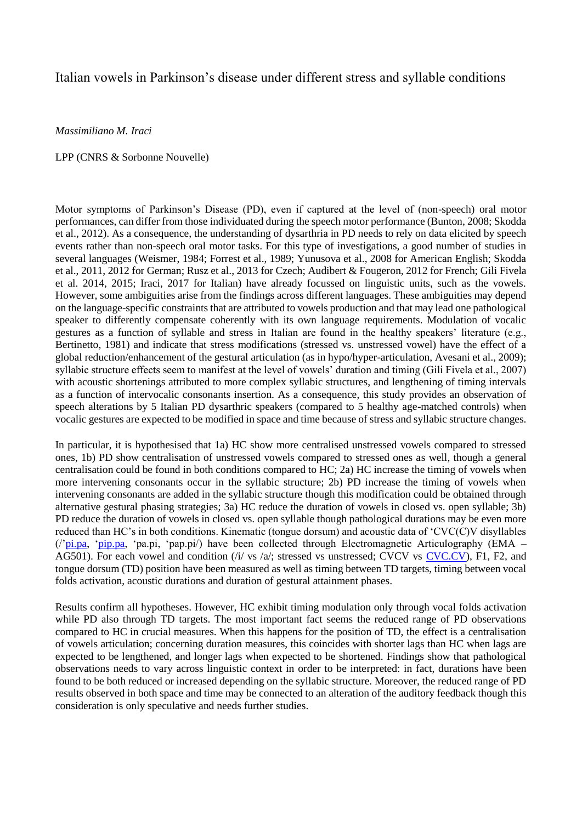## Italian vowels in Parkinson's disease under different stress and syllable conditions

*Massimiliano M. Iraci* 

## LPP (CNRS & Sorbonne Nouvelle)

Motor symptoms of Parkinson's Disease (PD), even if captured at the level of (non-speech) oral motor performances, can differ from those individuated during the speech motor performance (Bunton, 2008; Skodda et al., 2012). As a consequence, the understanding of dysarthria in PD needs to rely on data elicited by speech events rather than non-speech oral motor tasks. For this type of investigations, a good number of studies in several languages (Weismer, 1984; Forrest et al., 1989; Yunusova et al., 2008 for American English; Skodda et al., 2011, 2012 for German; Rusz et al., 2013 for Czech; Audibert & Fougeron, 2012 for French; Gili Fivela et al. 2014, 2015; Iraci, 2017 for Italian) have already focussed on linguistic units, such as the vowels. However, some ambiguities arise from the findings across different languages. These ambiguities may depend on the language-specific constraints that are attributed to vowels production and that may lead one pathological speaker to differently compensate coherently with its own language requirements. Modulation of vocalic gestures as a function of syllable and stress in Italian are found in the healthy speakers' literature (e.g., Bertinetto, 1981) and indicate that stress modifications (stressed vs. unstressed vowel) have the effect of a global reduction/enhancement of the gestural articulation (as in hypo/hyper-articulation, Avesani et al., 2009); syllabic structure effects seem to manifest at the level of vowels' duration and timing (Gili Fivela et al., 2007) with acoustic shortenings attributed to more complex syllabic structures, and lengthening of timing intervals as a function of intervocalic consonants insertion. As a consequence, this study provides an observation of speech alterations by 5 Italian PD dysarthric speakers (compared to 5 healthy age-matched controls) when vocalic gestures are expected to be modified in space and time because of stress and syllabic structure changes.

In particular, it is hypothesised that 1a) HC show more centralised unstressed vowels compared to stressed ones, 1b) PD show centralisation of unstressed vowels compared to stressed ones as well, though a general centralisation could be found in both conditions compared to HC; 2a) HC increase the timing of vowels when more intervening consonants occur in the syllabic structure; 2b) PD increase the timing of vowels when intervening consonants are added in the syllabic structure though this modification could be obtained through alternative gestural phasing strategies; 3a) HC reduce the duration of vowels in closed vs. open syllable; 3b) PD reduce the duration of vowels in closed vs. open syllable though pathological durations may be even more reduced than HC's in both conditions. Kinematic (tongue dorsum) and acoustic data of 'CVC(C)V disyllables (/['pi.pa,](http://pi.pa/) ['pip.pa,](http://pip.pa/) 'pa.pi, 'pap.pi/) have been collected through Electromagnetic Articulography (EMA – AG501). For each vowel and condition (/i/ vs /a/; stressed vs unstressed; CVCV vs [CVC.CV\)](http://cvc.cv/), F1, F2, and tongue dorsum (TD) position have been measured as well as timing between TD targets, timing between vocal folds activation, acoustic durations and duration of gestural attainment phases.

Results confirm all hypotheses. However, HC exhibit timing modulation only through vocal folds activation while PD also through TD targets. The most important fact seems the reduced range of PD observations compared to HC in crucial measures. When this happens for the position of TD, the effect is a centralisation of vowels articulation; concerning duration measures, this coincides with shorter lags than HC when lags are expected to be lengthened, and longer lags when expected to be shortened. Findings show that pathological observations needs to vary across linguistic context in order to be interpreted: in fact, durations have been found to be both reduced or increased depending on the syllabic structure. Moreover, the reduced range of PD results observed in both space and time may be connected to an alteration of the auditory feedback though this consideration is only speculative and needs further studies.